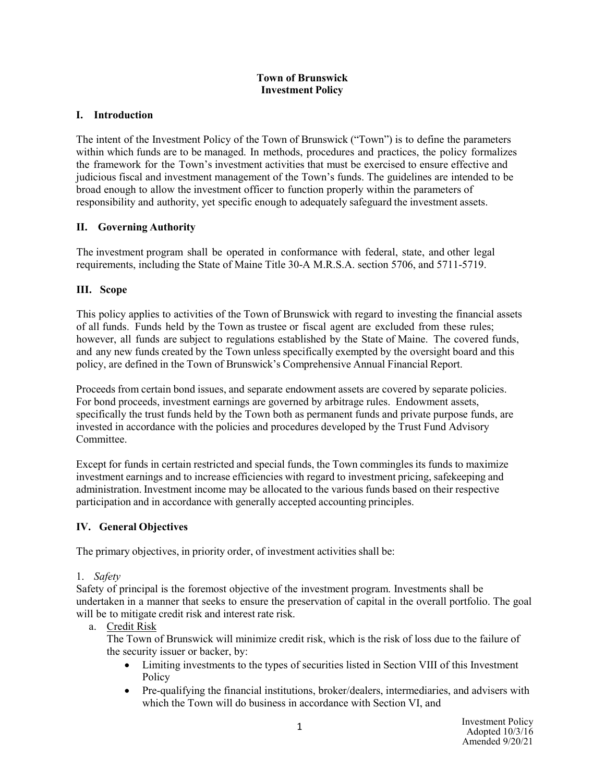#### **Town of Brunswick Investment Policy**

### **I. Introduction**

The intent of the Investment Policy of the Town of Brunswick ("Town") is to define the parameters within which funds are to be managed. In methods, procedures and practices, the policy formalizes the framework for the Town's investment activities that must be exercised to ensure effective and judicious fiscal and investment management of the Town's funds. The guidelines are intended to be broad enough to allow the investment officer to function properly within the parameters of responsibility and authority, yet specific enough to adequately safeguard the investment assets.

## **II. Governing Authority**

The investment program shall be operated in conformance with federal, state, and other legal requirements, including the State of Maine Title 30-A M.R.S.A. section 5706, and 5711-5719.

### **III. Scope**

This policy applies to activities of the Town of Brunswick with regard to investing the financial assets of all funds. Funds held by the Town as trustee or fiscal agent are excluded from these rules; however, all funds are subject to regulations established by the State of Maine. The covered funds, and any new funds created by the Town unless specifically exempted by the oversight board and this policy, are defined in the Town of Brunswick's Comprehensive Annual Financial Report.

Proceeds from certain bond issues, and separate endowment assets are covered by separate policies. For bond proceeds, investment earnings are governed by arbitrage rules. Endowment assets, specifically the trust funds held by the Town both as permanent funds and private purpose funds, are invested in accordance with the policies and procedures developed by the Trust Fund Advisory Committee.

Except for funds in certain restricted and special funds, the Town commingles its funds to maximize investment earnings and to increase efficiencies with regard to investment pricing, safekeeping and administration. Investment income may be allocated to the various funds based on their respective participation and in accordance with generally accepted accounting principles.

## **IV. General Objectives**

The primary objectives, in priority order, of investment activities shall be:

#### 1. *Safety*

Safety of principal is the foremost objective of the investment program. Investments shall be undertaken in a manner that seeks to ensure the preservation of capital in the overall portfolio. The goal will be to mitigate credit risk and interest rate risk.

#### a. Credit Risk

The Town of Brunswick will minimize credit risk, which is the risk of loss due to the failure of the security issuer or backer, by:

- Limiting investments to the types of securities listed in Section VIII of this Investment **Policy**
- Pre-qualifying the financial institutions, broker/dealers, intermediaries, and advisers with which the Town will do business in accordance with Section VI, and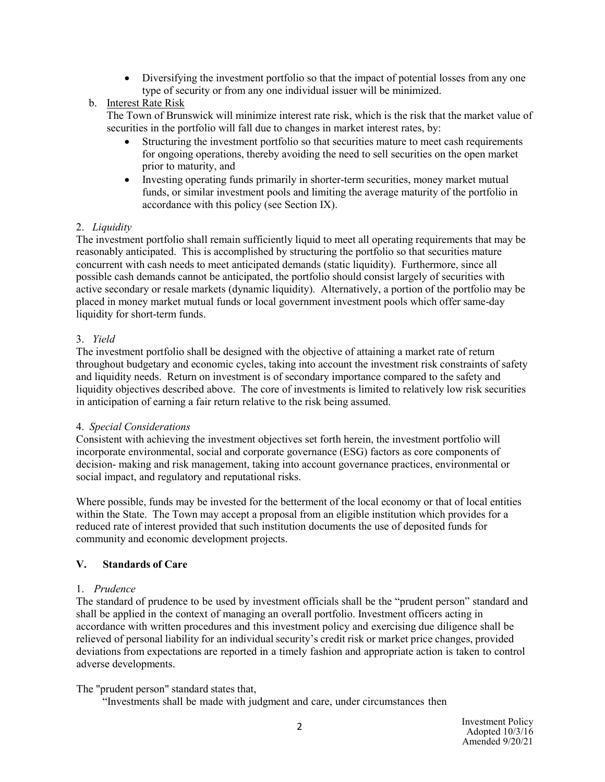• Diversifying the investment portfolio so that the impact of potential losses from any one type of security or from any one individual issuer will be minimized.

## b. Interest Rate Risk

The Town of Brunswick will minimize interest rate risk, which is the risk that the market value of securities in the portfolio will fall due to changes in market interest rates, by:

- Structuring the investment portfolio so that securities mature to meet cash requirements for ongoing operations, thereby avoiding the need to sell securities on the open market prior to maturity, and
- Investing operating funds primarily in shorter-term securities, money market mutual funds, or similar investment pools and limiting the average maturity of the portfolio in accordance with this policy (see Section IX).

## 2. *Liquidity*

The investment portfolio shall remain sufficiently liquid to meet all operating requirements that may be reasonably anticipated. This is accomplished by structuring the portfolio so that securities mature concurrent with cash needs to meet anticipated demands (static liquidity). Furthermore, since all possible cash demands cannot be anticipated, the portfolio should consist largely of securities with active secondary or resale markets (dynamic liquidity). Alternatively, a portion of the portfolio may be placed in money market mutual funds or local government investment pools which offer same-day liquidity for short-term funds.

## 3. *Yield*

The investment portfolio shall be designed with the objective of attaining a market rate of return throughout budgetary and economic cycles, taking into account the investment risk constraints of safety and liquidity needs. Return on investment is of secondary importance compared to the safety and liquidity objectives described above. The core of investments is limited to relatively low risk securities in anticipation of earning a fair return relative to the risk being assumed.

## 4. *Special Considerations*

Consistent with achieving the investment objectives set forth herein, the investment portfolio will incorporate environmental, social and corporate governance (ESG) factors as core components of decision- making and risk management, taking into account governance practices, environmental or social impact, and regulatory and reputational risks.

Where possible, funds may be invested for the betterment of the local economy or that of local entities within the State. The Town may accept a proposal from an eligible institution which provides for a reduced rate of interest provided that such institution documents the use of deposited funds for community and economic development projects.

# **V. Standards of Care**

## 1. *Prudence*

The standard of prudence to be used by investment officials shall be the "prudent person" standard and shall be applied in the context of managing an overall portfolio. Investment officers acting in accordance with written procedures and this investment policy and exercising due diligence shall be relieved of personal liability for an individual security's credit risk or market price changes, provided deviations from expectations are reported in a timely fashion and appropriate action is taken to control adverse developments.

## The "prudent person" standard states that,

"Investments shall be made with judgment and care, under circumstances then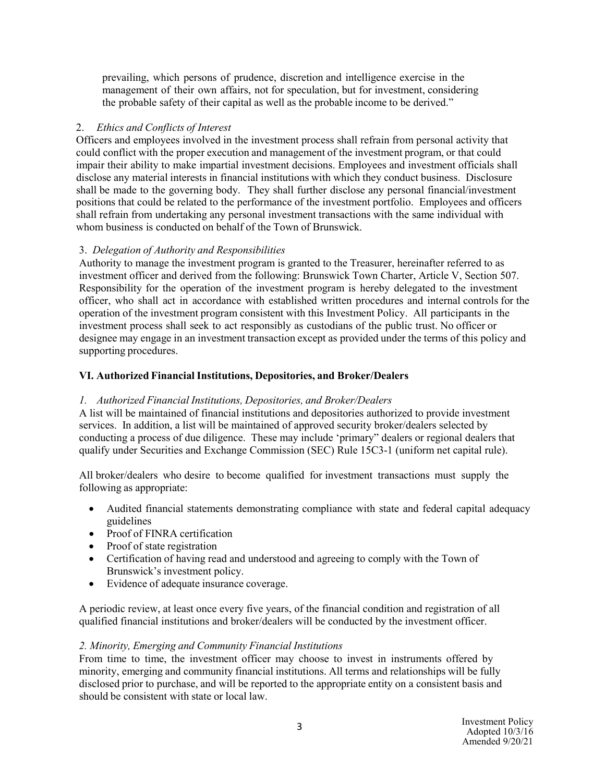prevailing, which persons of prudence, discretion and intelligence exercise in the management of their own affairs, not for speculation, but for investment, considering the probable safety of their capital as well as the probable income to be derived."

### 2. *Ethics and Conflicts of Interest*

Officers and employees involved in the investment process shall refrain from personal activity that could conflict with the proper execution and management of the investment program, or that could impair their ability to make impartial investment decisions. Employees and investment officials shall disclose any material interests in financial institutions with which they conduct business. Disclosure shall be made to the governing body. They shall further disclose any personal financial/investment positions that could be related to the performance of the investment portfolio. Employees and officers shall refrain from undertaking any personal investment transactions with the same individual with whom business is conducted on behalf of the Town of Brunswick.

### 3. *Delegation of Authority and Responsibilities*

Authority to manage the investment program is granted to the Treasurer, hereinafter referred to as investment officer and derived from the following: Brunswick Town Charter, Article V, Section 507. Responsibility for the operation of the investment program is hereby delegated to the investment officer, who shall act in accordance with established written procedures and internal controls for the operation of the investment program consistent with this Investment Policy. All participants in the investment process shall seek to act responsibly as custodians of the public trust. No officer or designee may engage in an investment transaction except as provided under the terms of this policy and supporting procedures.

## **VI. Authorized Financial Institutions, Depositories, and Broker/Dealers**

#### *1. Authorized Financial Institutions, Depositories, and Broker/Dealers*

A list will be maintained of financial institutions and depositories authorized to provide investment services. In addition, a list will be maintained of approved security broker/dealers selected by conducting a process of due diligence. These may include 'primary" dealers or regional dealers that qualify under Securities and Exchange Commission (SEC) Rule 15C3-1 (uniform net capital rule).

All broker/dealers who desire to become qualified for investment transactions must supply the following as appropriate:

- Audited financial statements demonstrating compliance with state and federal capital adequacy guidelines
- Proof of FINRA certification
- Proof of state registration
- Certification of having read and understood and agreeing to comply with the Town of Brunswick's investment policy.
- Evidence of adequate insurance coverage.

A periodic review, at least once every five years, of the financial condition and registration of all qualified financial institutions and broker/dealers will be conducted by the investment officer.

#### *2. Minority, Emerging and Community Financial Institutions*

From time to time, the investment officer may choose to invest in instruments offered by minority, emerging and community financial institutions. All terms and relationships will be fully disclosed prior to purchase, and will be reported to the appropriate entity on a consistent basis and should be consistent with state or local law.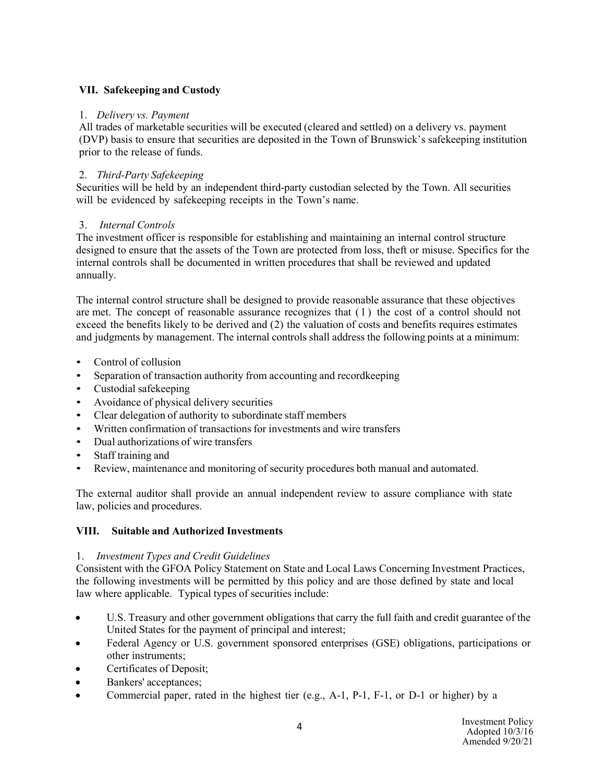## **VII. Safekeeping and Custody**

#### 1. *Delivery vs. Payment*

All trades of marketable securities will be executed (cleared and settled) on a delivery vs. payment (DVP) basis to ensure that securities are deposited in the Town of Brunswick's safekeeping institution prior to the release of funds.

## 2. *Third-Party Safekeeping*

Securities will be held by an independent third-party custodian selected by the Town. All securities will be evidenced by safekeeping receipts in the Town's name.

### 3. *Internal Controls*

The investment officer is responsible for establishing and maintaining an internal control structure designed to ensure that the assets of the Town are protected from loss, theft or misuse. Specifics for the internal controls shall be documented in written procedures that shall be reviewed and updated annually.

The internal control structure shall be designed to provide reasonable assurance that these objectives are met. The concept of reasonable assurance recognizes that (1) the cost of a control should not exceed the benefits likely to be derived and (2) the valuation of costs and benefits requires estimates and judgments by management. The internal controls shall address the following points at a minimum:

- Control of collusion
- Separation of transaction authority from accounting and recordkeeping
- Custodial safekeeping
- Avoidance of physical delivery securities
- Clear delegation of authority to subordinate staff members
- Written confirmation of transactions for investments and wire transfers
- Dual authorizations of wire transfers
- Staff training and
- Review, maintenance and monitoring of security procedures both manual and automated.

The external auditor shall provide an annual independent review to assure compliance with state law, policies and procedures.

#### **VIII. Suitable and Authorized Investments**

#### 1. *Investment Types and Credit Guidelines*

Consistent with the GFOA Policy Statement on State and Local Laws Concerning Investment Practices, the following investments will be permitted by this policy and are those defined by state and local law where applicable. Typical types of securities include:

- U.S. Treasury and other government obligations that carry the full faith and credit guarantee of the United States for the payment of principal and interest;
- Federal Agency or U.S. government sponsored enterprises (GSE) obligations, participations or other instruments;
- Certificates of Deposit;
- Bankers' acceptances;
- Commercial paper, rated in the highest tier (e.g., A-1, P-1, F-1, or D-1 or higher) by a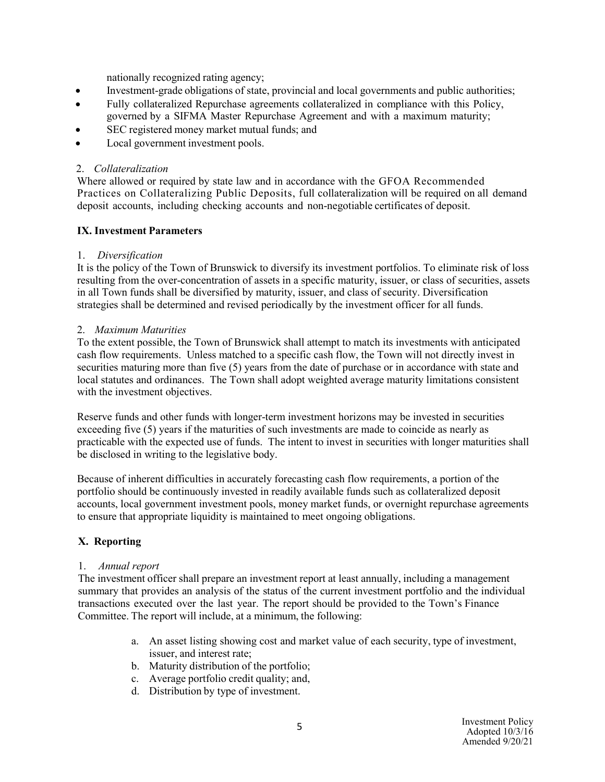nationally recognized rating agency;

- Investment-grade obligations of state, provincial and local governments and public authorities;
- Fully collateralized Repurchase agreements collateralized in compliance with this Policy, governed by a SIFMA Master Repurchase Agreement and with a maximum maturity;
- SEC registered money market mutual funds; and
- Local government investment pools.

### 2. *Collateralization*

Where allowed or required by state law and in accordance with the GFOA Recommended Practices on Collateralizing Public Deposits, full collateralization will be required on all demand deposit accounts, including checking accounts and non-negotiable certificates of deposit.

### **IX. Investment Parameters**

### 1. *Diversification*

It is the policy of the Town of Brunswick to diversify its investment portfolios. To eliminate risk of loss resulting from the over-concentration of assets in a specific maturity, issuer, or class of securities, assets in all Town funds shall be diversified by maturity, issuer, and class of security. Diversification strategies shall be determined and revised periodically by the investment officer for all funds.

#### 2. *Maximum Maturities*

To the extent possible, the Town of Brunswick shall attempt to match its investments with anticipated cash flow requirements. Unless matched to a specific cash flow, the Town will not directly invest in securities maturing more than five (5) years from the date of purchase or in accordance with state and local statutes and ordinances. The Town shall adopt weighted average maturity limitations consistent with the investment objectives.

Reserve funds and other funds with longer-term investment horizons may be invested in securities exceeding five (5) years if the maturities of such investments are made to coincide as nearly as practicable with the expected use of funds. The intent to invest in securities with longer maturities shall be disclosed in writing to the legislative body.

Because of inherent difficulties in accurately forecasting cash flow requirements, a portion of the portfolio should be continuously invested in readily available funds such as collateralized deposit accounts, local government investment pools, money market funds, or overnight repurchase agreements to ensure that appropriate liquidity is maintained to meet ongoing obligations.

## **X. Reporting**

#### 1. *Annual report*

The investment officer shall prepare an investment report at least annually, including a management summary that provides an analysis of the status of the current investment portfolio and the individual transactions executed over the last year. The report should be provided to the Town's Finance Committee. The report will include, at a minimum, the following:

- a. An asset listing showing cost and market value of each security, type of investment, issuer, and interest rate;
- b. Maturity distribution of the portfolio;
- c. Average portfolio credit quality; and,
- d. Distribution by type of investment.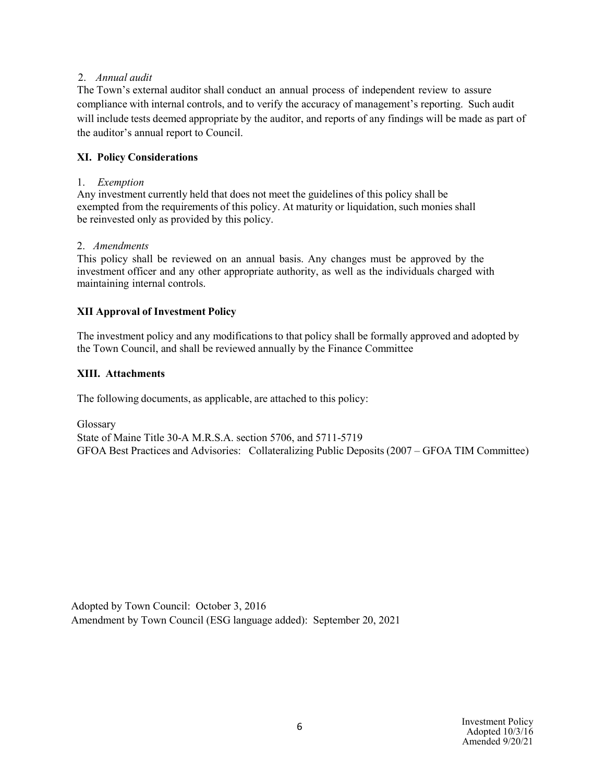#### 2. *Annual audit*

The Town's external auditor shall conduct an annual process of independent review to assure compliance with internal controls, and to verify the accuracy of management's reporting. Such audit will include tests deemed appropriate by the auditor, and reports of any findings will be made as part of the auditor's annual report to Council.

## **XI. Policy Considerations**

## 1. *Exemption*

Any investment currently held that does not meet the guidelines of this policy shall be exempted from the requirements of this policy. At maturity or liquidation, such monies shall be reinvested only as provided by this policy.

### 2. *Amendments*

This policy shall be reviewed on an annual basis. Any changes must be approved by the investment officer and any other appropriate authority, as well as the individuals charged with maintaining internal controls.

## **XII Approval of Investment Policy**

The investment policy and any modifications to that policy shall be formally approved and adopted by the Town Council, and shall be reviewed annually by the Finance Committee

## **XIII. Attachments**

The following documents, as applicable, are attached to this policy:

Glossary State of Maine Title 30-A M.R.S.A. section 5706, and 5711-5719 GFOA Best Practices and Advisories: Collateralizing Public Deposits (2007 – GFOA TIM Committee)

Adopted by Town Council: October 3, 2016 Amendment by Town Council (ESG language added): September 20, 2021